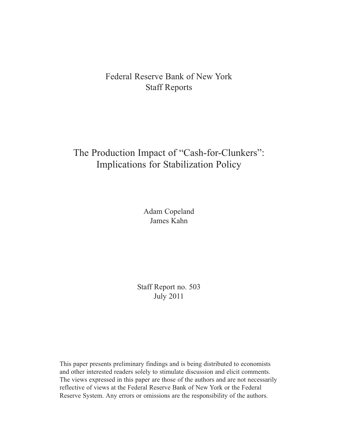# Federal Reserve Bank of New York Staff Reports

# The Production Impact of "Cash-for-Clunkers": Implications for Stabilization Policy

Adam Copeland James Kahn

Staff Report no. 503 July 2011

This paper presents preliminary findings and is being distributed to economists and other interested readers solely to stimulate discussion and elicit comments. The views expressed in this paper are those of the authors and are not necessarily reflective of views at the Federal Reserve Bank of New York or the Federal Reserve System. Any errors or omissions are the responsibility of the authors.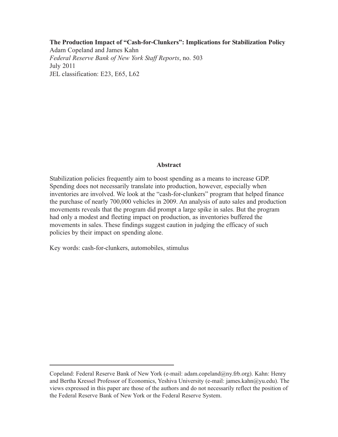# **The Production Impact of "Cash-for-Clunkers": Implications for Stabilization Policy**  Adam Copeland and James Kahn *Federal Reserve Bank of New York Staff Reports*, no. 503 July 2011 JEL classification: E23, E65, L62

# **Abstract**

Stabilization policies frequently aim to boost spending as a means to increase GDP. Spending does not necessarily translate into production, however, especially when inventories are involved. We look at the "cash-for-clunkers" program that helped finance the purchase of nearly 700,000 vehicles in 2009. An analysis of auto sales and production movements reveals that the program did prompt a large spike in sales. But the program had only a modest and fleeting impact on production, as inventories buffered the movements in sales. These findings suggest caution in judging the efficacy of such policies by their impact on spending alone.

Key words: cash-for-clunkers, automobiles, stimulus

Copeland: Federal Reserve Bank of New York (e-mail: adam.copeland@ny.frb.org). Kahn: Henry and Bertha Kressel Professor of Economics, Yeshiva University (e-mail: james.kahn@yu.edu). The views expressed in this paper are those of the authors and do not necessarily reflect the position of the Federal Reserve Bank of New York or the Federal Reserve System.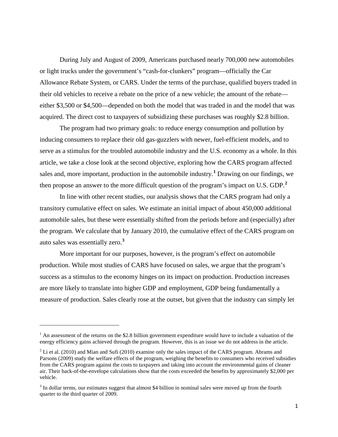During July and August of 2009, Americans purchased nearly 700,000 new automobiles or light trucks under the government's "cash-for-clunkers" program—officially the Car Allowance Rebate System, or CARS. Under the terms of the purchase, qualified buyers traded in their old vehicles to receive a rebate on the price of a new vehicle; the amount of the rebate either \$3,500 or \$4,500—depended on both the model that was traded in and the model that was acquired. The direct cost to taxpayers of subsidizing these purchases was roughly \$2.8 billion.

The program had two primary goals: to reduce energy consumption and pollution by inducing consumers to replace their old gas-guzzlers with newer, fuel-efficient models, and to serve as a stimulus for the troubled automobile industry and the U.S. economy as a whole. In this article, we take a close look at the second objective, exploring how the CARS program affected sales and, more important, production in the automobile industry.**[1](#page-2-0)** Drawing on our findings, we then propose an answer to the more difficult question of the program's impact on U.S. GDP.**[2](#page-2-1)**

In line with other recent studies, our analysis shows that the CARS program had only a transitory cumulative effect on sales. We estimate an initial impact of about 450,000 additional automobile sales, but these were essentially shifted from the periods before and (especially) after the program. We calculate that by January 2010, the cumulative effect of the CARS program on auto sales was essentially zero.**[3](#page-2-2)**

More important for our purposes, however, is the program's effect on automobile production. While most studies of CARS have focused on sales, we argue that the program's success as a stimulus to the economy hinges on its impact on production. Production increases are more likely to translate into higher GDP and employment, GDP being fundamentally a measure of production. Sales clearly rose at the outset, but given that the industry can simply let

ı

<span id="page-2-0"></span> $<sup>1</sup>$  An assessment of the returns on the \$2.8 billion government expenditure would have to include a valuation of the</sup> energy efficiency gains achieved through the program. However, this is an issue we do not address in the article.

<span id="page-2-1"></span> $2$  Li et al. (2010) and Mian and Sufi (2010) examine only the sales impact of the CARS program. Abrams and Parsons (2009) study the welfare effects of the program, weighing the benefits to consumers who received subsidies from the CARS program against the costs to taxpayers and taking into account the environmental gains of cleaner air. Their back-of-the-envelope calculations show that the costs exceeded the benefits by approximately \$2,000 per vehicle.

<span id="page-2-2"></span><sup>&</sup>lt;sup>3</sup> In dollar terms, our estimates suggest that almost \$4 billion in nominal sales were moved up from the fourth quarter to the third quarter of 2009.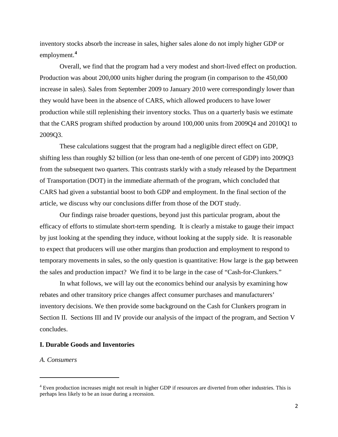inventory stocks absorb the increase in sales, higher sales alone do not imply higher GDP or employment.**[4](#page-3-0)**

Overall, we find that the program had a very modest and short-lived effect on production. Production was about 200,000 units higher during the program (in comparison to the 450,000 increase in sales). Sales from September 2009 to January 2010 were correspondingly lower than they would have been in the absence of CARS, which allowed producers to have lower production while still replenishing their inventory stocks. Thus on a quarterly basis we estimate that the CARS program shifted production by around 100,000 units from 2009Q4 and 2010Q1 to 2009Q3.

These calculations suggest that the program had a negligible direct effect on GDP, shifting less than roughly \$2 billion (or less than one-tenth of one percent of GDP) into 2009Q3 from the subsequent two quarters. This contrasts starkly with a study released by the Department of Transportation (DOT) in the immediate aftermath of the program, which concluded that CARS had given a substantial boost to both GDP and employment. In the final section of the article, we discuss why our conclusions differ from those of the DOT study.

Our findings raise broader questions, beyond just this particular program, about the efficacy of efforts to stimulate short-term spending. It is clearly a mistake to gauge their impact by just looking at the spending they induce, without looking at the supply side. It is reasonable to expect that producers will use other margins than production and employment to respond to temporary movements in sales, so the only question is quantitative: How large is the gap between the sales and production impact? We find it to be large in the case of "Cash-for-Clunkers."

In what follows, we will lay out the economics behind our analysis by examining how rebates and other transitory price changes affect consumer purchases and manufacturers' inventory decisions. We then provide some background on the Cash for Clunkers program in Section II. Sections III and IV provide our analysis of the impact of the program, and Section V concludes.

# **I. Durable Goods and Inventories**

#### *A. Consumers*

ı

<span id="page-3-0"></span><sup>4</sup> Even production increases might not result in higher GDP if resources are diverted from other industries. This is perhaps less likely to be an issue during a recession.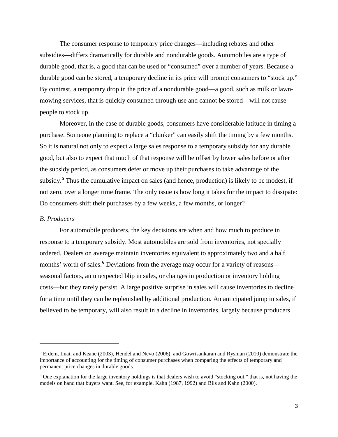The consumer response to temporary price changes—including rebates and other subsidies—differs dramatically for durable and nondurable goods. Automobiles are a type of durable good, that is, a good that can be used or "consumed" over a number of years. Because a durable good can be stored, a temporary decline in its price will prompt consumers to "stock up." By contrast, a temporary drop in the price of a nondurable good—a good, such as milk or lawnmowing services, that is quickly consumed through use and cannot be stored—will not cause people to stock up.

Moreover, in the case of durable goods, consumers have considerable latitude in timing a purchase. Someone planning to replace a "clunker" can easily shift the timing by a few months. So it is natural not only to expect a large sales response to a temporary subsidy for any durable good, but also to expect that much of that response will be offset by lower sales before or after the subsidy period, as consumers defer or move up their purchases to take advantage of the subsidy.**[5](#page-4-0)** Thus the cumulative impact on sales (and hence, production) is likely to be modest, if not zero, over a longer time frame. The only issue is how long it takes for the impact to dissipate: Do consumers shift their purchases by a few weeks, a few months, or longer?

# *B. Producers*

ı

For automobile producers, the key decisions are when and how much to produce in response to a temporary subsidy. Most automobiles are sold from inventories, not specially ordered. Dealers on average maintain inventories equivalent to approximately two and a half months' worth of sales.<sup>[6](#page-4-1)</sup> Deviations from the average may occur for a variety of reasons seasonal factors, an unexpected blip in sales, or changes in production or inventory holding costs—but they rarely persist. A large positive surprise in sales will cause inventories to decline for a time until they can be replenished by additional production. An anticipated jump in sales, if believed to be temporary, will also result in a decline in inventories, largely because producers

<span id="page-4-0"></span><sup>5</sup> Erdem, Imai, and Keane (2003), Hendel and Nevo (2006), and Gowrisankaran and Rysman (2010) demonstrate the importance of accounting for the timing of consumer purchases when comparing the effects of temporary and permanent price changes in durable goods.

<span id="page-4-1"></span> $6$  One explanation for the large inventory holdings is that dealers wish to avoid "stocking out," that is, not having the models on hand that buyers want. See, for example, Kahn (1987, 1992) and Bils and Kahn (2000).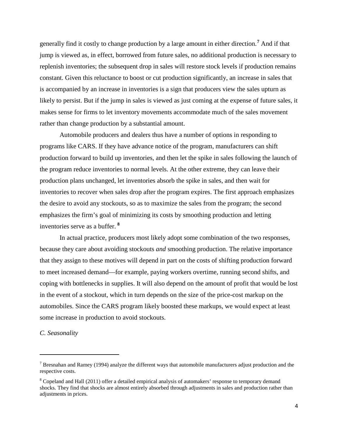generally find it costly to change production by a large amount in either direction.**[7](#page-5-0)** And if that jump is viewed as, in effect, borrowed from future sales, no additional production is necessary to replenish inventories; the subsequent drop in sales will restore stock levels if production remains constant. Given this reluctance to boost or cut production significantly, an increase in sales that is accompanied by an increase in inventories is a sign that producers view the sales upturn as likely to persist. But if the jump in sales is viewed as just coming at the expense of future sales, it makes sense for firms to let inventory movements accommodate much of the sales movement rather than change production by a substantial amount.

Automobile producers and dealers thus have a number of options in responding to programs like CARS. If they have advance notice of the program, manufacturers can shift production forward to build up inventories, and then let the spike in sales following the launch of the program reduce inventories to normal levels. At the other extreme, they can leave their production plans unchanged, let inventories absorb the spike in sales, and then wait for inventories to recover when sales drop after the program expires. The first approach emphasizes the desire to avoid any stockouts, so as to maximize the sales from the program; the second emphasizes the firm's goal of minimizing its costs by smoothing production and letting inventories serve as a buffer. **[8](#page-5-1)**

In actual practice, producers most likely adopt some combination of the two responses, because they care about avoiding stockouts *and* smoothing production. The relative importance that they assign to these motives will depend in part on the costs of shifting production forward to meet increased demand—for example, paying workers overtime, running second shifts, and coping with bottlenecks in supplies. It will also depend on the amount of profit that would be lost in the event of a stockout, which in turn depends on the size of the price-cost markup on the automobiles. Since the CARS program likely boosted these markups, we would expect at least some increase in production to avoid stockouts.

#### *C. Seasonality*

l

<span id="page-5-0"></span><sup>&</sup>lt;sup>7</sup> Bresnahan and Ramey (1994) analyze the different ways that automobile manufacturers adjust production and the respective costs.

<span id="page-5-1"></span> $8$  Copeland and Hall (2011) offer a detailed empirical analysis of automakers' response to temporary demand shocks. They find that shocks are almost entirely absorbed through adjustments in sales and production rather than adjustments in prices.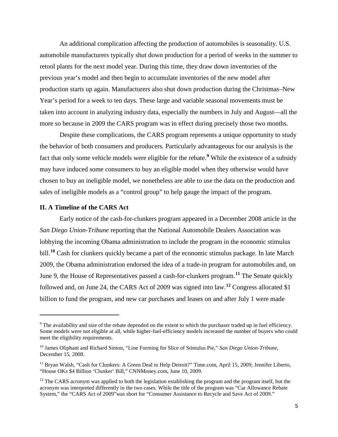An additional complication affecting the production of automobiles is seasonality. U.S. automobile manufacturers typically shut down production for a period of weeks in the summer to retool plants for the next model year. During this time, they draw down inventories of the previous year's model and then begin to accumulate inventories of the new model after production starts up again. Manufacturers also shut down production during the Christmas–New Year's period for a week to ten days. These large and variable seasonal movements must be taken into account in analyzing industry data, especially the numbers in July and August—all the more so because in 2009 the CARS program was in effect during precisely those two months.

Despite these complications, the CARS program represents a unique opportunity to study the behavior of both consumers and producers. Particularly advantageous for our analysis is the fact that only some vehicle models were eligible for the rebate.**[9](#page-6-0)** While the existence of a subsidy may have induced some consumers to buy an eligible model when they otherwise would have chosen to buy an ineligible model, we nonetheless are able to use the data on the production and sales of ineligible models as a "control group" to help gauge the impact of the program.

# **II. A Timeline of the CARS Act**

ı

Early notice of the cash-for-clunkers program appeared in a December 2008 article in the *San Diego Union-Tribune* reporting that the National Automobile Dealers Association was lobbying the incoming Obama administration to include the program in the economic stimulus bill.**[10](#page-6-1)** Cash for clunkers quickly became a part of the economic stimulus package. In late March 2009, the Obama administration endorsed the idea of a trade-in program for automobiles and, on June 9, the House of Representatives passed a cash-for-clunkers program.**[11](#page-6-2)** The Senate quickly followed and, on June 24, the CARS Act of 2009 was signed into law.**[12](#page-6-3)** Congress allocated \$1 billion to fund the program, and new car purchases and leases on and after July 1 were made

<span id="page-6-0"></span><sup>&</sup>lt;sup>9</sup> The availability and size of the rebate depended on the extent to which the purchaser traded up in fuel efficiency. Some models were not eligible at all, while higher-fuel-efficiency models increased the number of buyers who could meet the eligibility requirements.

<span id="page-6-1"></span><sup>10</sup> James Oliphant and Richard Simon, "Line Forming for Slice of Stimulus Pie," *San Diego Union-Tribune*, December 15, 2008.

<span id="page-6-2"></span><sup>&</sup>lt;sup>11</sup> Bryan Walsh, "Cash for Clunkers: A Green Deal to Help Detroit?" Time.com, April 15, 2009; Jennifer Liberto, "House OKs \$4 Billion 'Clunker' Bill," CNNMoney.com, June 10, 2009.

<span id="page-6-3"></span><sup>&</sup>lt;sup>12</sup> The CARS acronym was applied to both the legislation establishing the program and the program itself, but the acronym was interpreted differently in the two cases. While the title of the program was "Car Allowance Rebate System," the "CARS Act of 2009"was short for "Consumer Assistance to Recycle and Save Act of 2009."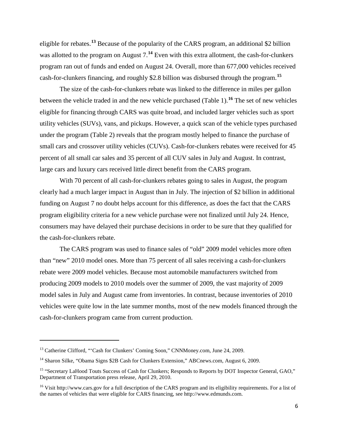eligible for rebates.**[13](#page-7-0)** Because of the popularity of the CARS program, an additional \$2 billion was allotted to the program on August 7.<sup>[14](#page-7-1)</sup> Even with this extra allotment, the cash-for-clunkers program ran out of funds and ended on August 24. Overall, more than 677,000 vehicles received cash-for-clunkers financing, and roughly \$2.8 billion was disbursed through the program.**[15](#page-7-2)**

The size of the cash-for-clunkers rebate was linked to the difference in miles per gallon between the vehicle traded in and the new vehicle purchased (Table 1).**[16](#page-7-3)** The set of new vehicles eligible for financing through CARS was quite broad, and included larger vehicles such as sport utility vehicles (SUVs), vans, and pickups. However, a quick scan of the vehicle types purchased under the program (Table 2) reveals that the program mostly helped to finance the purchase of small cars and crossover utility vehicles (CUVs). Cash-for-clunkers rebates were received for 45 percent of all small car sales and 35 percent of all CUV sales in July and August. In contrast, large cars and luxury cars received little direct benefit from the CARS program.

With 70 percent of all cash-for-clunkers rebates going to sales in August, the program clearly had a much larger impact in August than in July. The injection of \$2 billion in additional funding on August 7 no doubt helps account for this difference, as does the fact that the CARS program eligibility criteria for a new vehicle purchase were not finalized until July 24. Hence, consumers may have delayed their purchase decisions in order to be sure that they qualified for the cash-for-clunkers rebate.

The CARS program was used to finance sales of "old" 2009 model vehicles more often than "new" 2010 model ones. More than 75 percent of all sales receiving a cash-for-clunkers rebate were 2009 model vehicles. Because most automobile manufacturers switched from producing 2009 models to 2010 models over the summer of 2009, the vast majority of 2009 model sales in July and August came from inventories. In contrast, because inventories of 2010 vehicles were quite low in the late summer months, most of the new models financed through the cash-for-clunkers program came from current production.

 $\overline{\phantom{0}}$ 

<span id="page-7-0"></span><sup>&</sup>lt;sup>13</sup> Catherine Clifford, "'Cash for Clunkers' Coming Soon," CNNMoney.com, June 24, 2009.

<span id="page-7-1"></span><sup>&</sup>lt;sup>14</sup> Sharon Silke, "Obama Signs \$2B Cash for Clunkers Extension," ABCnews.com, August 6, 2009.

<span id="page-7-2"></span><sup>&</sup>lt;sup>15</sup> "Secretary LaHood Touts Success of Cash for Clunkers; Responds to Reports by DOT Inspector General, GAO," Department of Transportation press release, April 29, 2010.

<span id="page-7-3"></span> $16$  Visit http://www.cars.gov for a full description of the CARS program and its eligibility requirements. For a list of the names of vehicles that were eligible for CARS financing, see http://www.edmunds.com.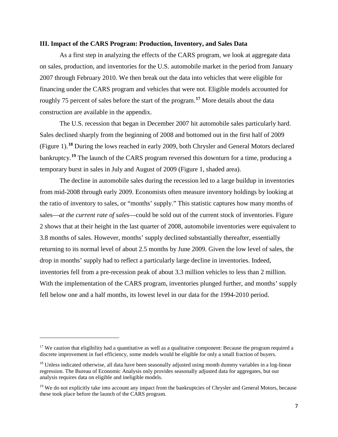# **III. Impact of the CARS Program: Production, Inventory, and Sales Data**

As a first step in analyzing the effects of the CARS program, we look at aggregate data on sales, production, and inventories for the U.S. automobile market in the period from January 2007 through February 2010. We then break out the data into vehicles that were eligible for financing under the CARS program and vehicles that were not. Eligible models accounted for roughly 75 percent of sales before the start of the program.**[17](#page-8-0)** More details about the data construction are available in the appendix.

The U.S. recession that began in December 2007 hit automobile sales particularly hard. Sales declined sharply from the beginning of 2008 and bottomed out in the first half of 2009 (Figure 1). **[18](#page-8-1)** During the lows reached in early 2009, both Chrysler and General Motors declared bankruptcy.**[19](#page-8-2)** The launch of the CARS program reversed this downturn for a time, producing a temporary burst in sales in July and August of 2009 (Figure 1, shaded area).

The decline in automobile sales during the recession led to a large buildup in inventories from mid-2008 through early 2009. Economists often measure inventory holdings by looking at the ratio of inventory to sales, or "months' supply." This statistic captures how many months of sales—*at the current rate of sales*—could be sold out of the current stock of inventories. Figure 2 shows that at their height in the last quarter of 2008, automobile inventories were equivalent to 3.8 months of sales. However, months' supply declined substantially thereafter, essentially returning to its normal level of about 2.5 months by June 2009. Given the low level of sales, the drop in months' supply had to reflect a particularly large decline in inventories. Indeed, inventories fell from a pre-recession peak of about 3.3 million vehicles to less than 2 million. With the implementation of the CARS program, inventories plunged further, and months' supply fell below one and a half months, its lowest level in our data for the 1994-2010 period.

ı

<span id="page-8-0"></span><sup>&</sup>lt;sup>17</sup> We caution that eligibility had a quantitative as well as a qualitative component: Because the program required a discrete improvement in fuel efficiency, some models would be eligible for only a small fraction of buyers.

<span id="page-8-1"></span><sup>&</sup>lt;sup>18</sup> Unless indicated otherwise, all data have been seasonally adjusted using month dummy variables in a log-linear regression. The Bureau of Economic Analysis only provides seasonally adjusted data for aggregates, but our analysis requires data on eligible and ineligible models.

<span id="page-8-2"></span> $19$  We do not explicitly take into account any impact from the bankruptcies of Chrysler and General Motors, because these took place before the launch of the CARS program.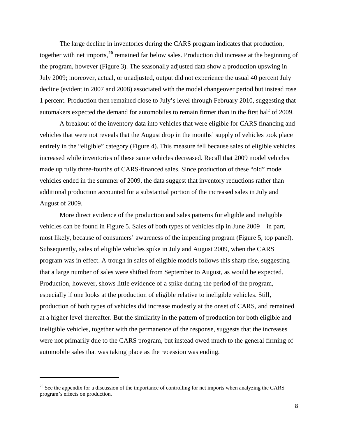The large decline in inventories during the CARS program indicates that production, together with net imports,**[20](#page-9-0)** remained far below sales. Production did increase at the beginning of the program, however (Figure 3). The seasonally adjusted data show a production upswing in July 2009; moreover, actual, or unadjusted, output did not experience the usual 40 percent July decline (evident in 2007 and 2008) associated with the model changeover period but instead rose 1 percent. Production then remained close to July's level through February 2010, suggesting that automakers expected the demand for automobiles to remain firmer than in the first half of 2009.

A breakout of the inventory data into vehicles that were eligible for CARS financing and vehicles that were not reveals that the August drop in the months' supply of vehicles took place entirely in the "eligible" category (Figure 4). This measure fell because sales of eligible vehicles increased while inventories of these same vehicles decreased. Recall that 2009 model vehicles made up fully three-fourths of CARS-financed sales. Since production of these "old" model vehicles ended in the summer of 2009, the data suggest that inventory reductions rather than additional production accounted for a substantial portion of the increased sales in July and August of 2009.

More direct evidence of the production and sales patterns for eligible and ineligible vehicles can be found in Figure 5. Sales of both types of vehicles dip in June 2009—in part, most likely, because of consumers' awareness of the impending program (Figure 5, top panel). Subsequently, sales of eligible vehicles spike in July and August 2009, when the CARS program was in effect. A trough in sales of eligible models follows this sharp rise, suggesting that a large number of sales were shifted from September to August, as would be expected. Production, however, shows little evidence of a spike during the period of the program, especially if one looks at the production of eligible relative to ineligible vehicles. Still, production of both types of vehicles did increase modestly at the onset of CARS, and remained at a higher level thereafter. But the similarity in the pattern of production for both eligible and ineligible vehicles, together with the permanence of the response, suggests that the increases were not primarily due to the CARS program, but instead owed much to the general firming of automobile sales that was taking place as the recession was ending.

ı

<span id="page-9-0"></span> $^{20}$  See the appendix for a discussion of the importance of controlling for net imports when analyzing the CARS program's effects on production.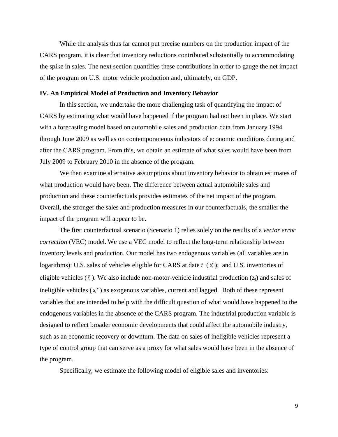While the analysis thus far cannot put precise numbers on the production impact of the CARS program, it is clear that inventory reductions contributed substantially to accommodating the spike in sales. The next section quantifies these contributions in order to gauge the net impact of the program on U.S. motor vehicle production and, ultimately, on GDP.

#### **IV. An Empirical Model of Production and Inventory Behavior**

In this section, we undertake the more challenging task of quantifying the impact of CARS by estimating what would have happened if the program had not been in place. We start with a forecasting model based on automobile sales and production data from January 1994 through June 2009 as well as on contemporaneous indicators of economic conditions during and after the CARS program. From this, we obtain an estimate of what sales would have been from July 2009 to February 2010 in the absence of the program.

We then examine alternative assumptions about inventory behavior to obtain estimates of what production would have been. The difference between actual automobile sales and production and these counterfactuals provides estimates of the net impact of the program. Overall, the stronger the sales and production measures in our counterfactuals, the smaller the impact of the program will appear to be.

The first counterfactual scenario (Scenario 1) relies solely on the results of a *vector error correction* (VEC) model. We use a VEC model to reflect the long-term relationship between inventory levels and production. Our model has two endogenous variables (all variables are in logarithms): U.S. sales of vehicles eligible for CARS at date  $t$  ( $s_t^e$ ); and U.S. inventories of eligible vehicles  $(i_t^e)$ . We also include non-motor-vehicle industrial production  $(z_t)$  and sales of ineligible vehicles  $(s_t^m)$  as exogenous variables, current and lagged. Both of these represent variables that are intended to help with the difficult question of what would have happened to the endogenous variables in the absence of the CARS program. The industrial production variable is designed to reflect broader economic developments that could affect the automobile industry, such as an economic recovery or downturn. The data on sales of ineligible vehicles represent a type of control group that can serve as a proxy for what sales would have been in the absence of the program.

Specifically, we estimate the following model of eligible sales and inventories: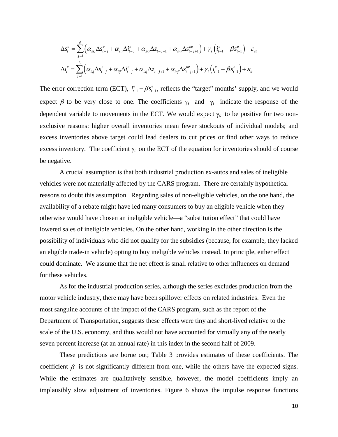$$
\Delta s_t^e = \sum_{j=1}^6 \Big( \alpha_{ssj} \Delta s_{t-j}^e + \alpha_{sij} \Delta i_{t-j}^e + \alpha_{sxj} \Delta z_{t-j+1} + \alpha_{snj} \Delta s_{t-j+1}^{ne} \Big) + \gamma_s \Big( i_{t-1}^e - \beta s_{t-1}^e \Big) + \varepsilon_{st}
$$
  

$$
\Delta i_t^e = \sum_{j=1}^6 \Big( \alpha_{isj} \Delta s_{t-j}^e + \alpha_{iij} \Delta i_{t-j}^e + \alpha_{ixj} \Delta z_{t-j+1} + \alpha_{inj} \Delta s_{t-j+1}^{ne} \Big) + \gamma_i \Big( i_{t-1}^e - \beta s_{t-1}^e \Big) + \varepsilon_{it}
$$

The error correction term (ECT),  $i_{t-1}^e - \beta s_{t-1}^e$ , reflects the "target" months' supply, and we would expect  $\beta$  to be very close to one. The coefficients  $\gamma_s$  and  $\gamma_i$  indicate the response of the dependent variable to movements in the ECT. We would expect  $\gamma_s$  to be positive for two nonexclusive reasons: higher overall inventories mean fewer stockouts of individual models; and excess inventories above target could lead dealers to cut prices or find other ways to reduce excess inventory. The coefficient  $\gamma_i$  on the ECT of the equation for inventories should of course be negative.

A crucial assumption is that both industrial production ex-autos and sales of ineligible vehicles were not materially affected by the CARS program. There are certainly hypothetical reasons to doubt this assumption. Regarding sales of non-eligible vehicles, on the one hand, the availability of a rebate might have led many consumers to buy an eligible vehicle when they otherwise would have chosen an ineligible vehicle—a "substitution effect" that could have lowered sales of ineligible vehicles. On the other hand, working in the other direction is the possibility of individuals who did not qualify for the subsidies (because, for example, they lacked an eligible trade-in vehicle) opting to buy ineligible vehicles instead. In principle, either effect could dominate. We assume that the net effect is small relative to other influences on demand for these vehicles.

As for the industrial production series, although the series excludes production from the motor vehicle industry, there may have been spillover effects on related industries. Even the most sanguine accounts of the impact of the CARS program, such as the report of the Department of Transportation, suggests these effects were tiny and short-lived relative to the scale of the U.S. economy, and thus would not have accounted for virtually any of the nearly seven percent increase (at an annual rate) in this index in the second half of 2009.

These predictions are borne out; Table 3 provides estimates of these coefficients. The coefficient  $\beta$  is not significantly different from one, while the others have the expected signs. While the estimates are qualitatively sensible, however, the model coefficients imply an implausibly slow adjustment of inventories. Figure 6 shows the impulse response functions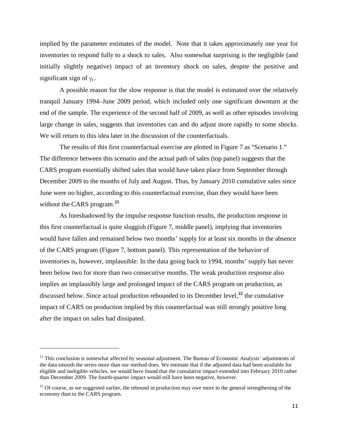implied by the parameter estimates of the model. Note that it takes approximately one year for inventories to respond fully to a shock to sales. Also somewhat surprising is the negligible (and initially slightly negative) impact of an inventory shock on sales, despite the positive and significant sign of γ*s* .

A possible reason for the slow response is that the model is estimated over the relatively tranquil January 1994–June 2009 period, which included only one significant downturn at the end of the sample. The experience of the second half of 2009, as well as other episodes involving large change in sales, suggests that inventories can and do adjust more rapidly to some shocks. We will return to this idea later in the discussion of the counterfactuals.

The results of this first counterfactual exercise are plotted in Figure 7 as "Scenario 1." The difference between this scenario and the actual path of sales (top panel) suggests that the CARS program essentially shifted sales that would have taken place from September through December 2009 to the months of July and August. Thus, by January 2010 cumulative sales since June were no higher, according to this counterfactual exercise, than they would have been without the CARS program.**[21](#page-12-0)**

As foreshadowed by the impulse response function results, the production response in this first counterfactual is quite sluggish (Figure 7, middle panel), implying that inventories would have fallen and remained below two months' supply for at least six months in the absence of the CARS program (Figure 7, bottom panel). This representation of the behavior of inventories is, however, implausible: In the data going back to 1994, months' supply has never been below two for more than two consecutive months. The weak production response also implies an implausibly large and prolonged impact of the CARS program on production, as discussed below. Since actual production rebounded to its December level,**[22](#page-12-1)** the cumulative impact of CARS on production implied by this counterfactual was still strongly positive long after the impact on sales had dissipated.

ı

<span id="page-12-0"></span> $21$  This conclusion is somewhat affected by seasonal adjustment. The Bureau of Economic Analysis' adjustments of the data smooth the series more than our method does. We estimate that if the adjusted data had been available for eligible and ineligible vehicles, we would have found that the cumulative impact extended into February 2010 rather than December 2009. The fourth-quarter impact would still have been negative, however.

<span id="page-12-1"></span><sup>&</sup>lt;sup>22</sup> Of course, as we suggested earlier, the rebound in production may owe more to the general strengthening of the economy than to the CARS program.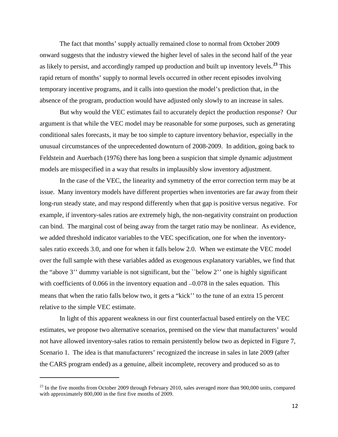The fact that months' supply actually remained close to normal from October 2009 onward suggests that the industry viewed the higher level of sales in the second half of the year as likely to persist, and accordingly ramped up production and built up inventory levels.**[23](#page-13-0)** This rapid return of months' supply to normal levels occurred in other recent episodes involving temporary incentive programs, and it calls into question the model's prediction that, in the absence of the program, production would have adjusted only slowly to an increase in sales.

But why would the VEC estimates fail to accurately depict the production response? Our argument is that while the VEC model may be reasonable for some purposes, such as generating conditional sales forecasts, it may be too simple to capture inventory behavior, especially in the unusual circumstances of the unprecedented downturn of 2008-2009. In addition, going back to Feldstein and Auerbach (1976) there has long been a suspicion that simple dynamic adjustment models are misspecified in a way that results in implausibly slow inventory adjustment.

In the case of the VEC, the linearity and symmetry of the error correction term may be at issue. Many inventory models have different properties when inventories are far away from their long-run steady state, and may respond differently when that gap is positive versus negative. For example, if inventory-sales ratios are extremely high, the non-negativity constraint on production can bind. The marginal cost of being away from the target ratio may be nonlinear. As evidence, we added threshold indicator variables to the VEC specification, one for when the inventorysales ratio exceeds 3.0, and one for when it falls below 2.0. When we estimate the VEC model over the full sample with these variables added as exogenous explanatory variables, we find that the "above 3'' dummy variable is not significant, but the ``below 2'' one is highly significant with coefficients of 0.066 in the inventory equation and −0.078 in the sales equation. This means that when the ratio falls below two, it gets a "kick'' to the tune of an extra 15 percent relative to the simple VEC estimate.

In light of this apparent weakness in our first counterfactual based entirely on the VEC estimates, we propose two alternative scenarios, premised on the view that manufacturers' would not have allowed inventory-sales ratios to remain persistently below two as depicted in Figure 7, Scenario 1. The idea is that manufacturers' recognized the increase in sales in late 2009 (after the CARS program ended) as a genuine, albeit incomplete, recovery and produced so as to

ı

<span id="page-13-0"></span> $^{23}$  In the five months from October 2009 through February 2010, sales averaged more than 900,000 units, compared with approximately 800,000 in the first five months of 2009.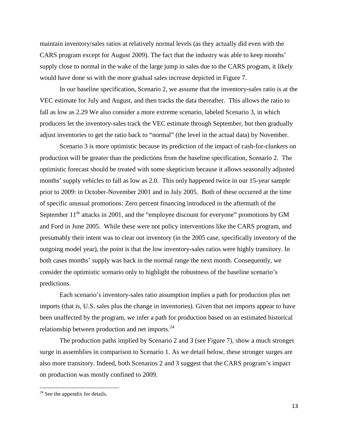maintain inventory/sales ratios at relatively normal levels (as they actually did even with the CARS program except for August 2009). The fact that the industry was able to keep months' supply close to normal in the wake of the large jump in sales due to the CARS program, it likely would have done so with the more gradual sales increase depicted in Figure 7.

In our baseline specification, Scenario 2, we assume that the inventory-sales ratio is at the VEC estimate for July and August, and then tracks the data thereafter. This allows the ratio to fall as low as 2.29 We also consider a more extreme scenario, labeled Scenario 3, in which producers let the inventory-sales track the VEC estimate through September, but then gradually adjust inventories to get the ratio back to "normal" (the level in the actual data) by November.

Scenario 3 is more optimistic because its prediction of the impact of cash-for-clunkers on production will be greater than the predictions from the baseline specification, Scenario 2. The optimistic forecast should be treated with some skepticism because it allows seasonally adjusted months' supply vehicles to fall as low as 2.0. This only happened twice in our 15-year sample prior to 2009: in October-November 2001 and in July 2005. Both of these occurred at the time of specific unusual promotions: Zero percent financing introduced in the aftermath of the September  $11<sup>th</sup>$  attacks in 2001, and the "employee discount for everyone" promotions by GM and Ford in June 2005. While these were not policy interventions like the CARS program, and presumably their intent was to clear out inventory (in the 2005 case, specifically inventory of the outgoing model year), the point is that the low inventory-sales ratios were highly transitory. In both cases months' supply was back in the normal range the next month. Consequently, we consider the optimistic scenario only to highlight the robustness of the baseline scenario's predictions.

Each scenario's inventory-sales ratio assumption implies a path for production plus net imports (that is, U.S. sales plus the change in inventories). Given that net imports appear to have been unaffected by the program, we infer a path for production based on an estimated historical relationship between production and net imports. $24$ 

The production paths implied by Scenario 2 and 3 (see Figure 7), show a much stronger surge in assemblies in comparison to Scenario 1. As we detail below, these stronger surges are also more transitory. Indeed, both Scenarios 2 and 3 suggest that the CARS program's impact on production was mostly confined to 2009.

l

<span id="page-14-0"></span> $24$  See the appendix for details.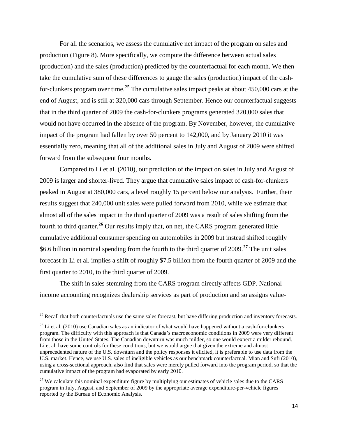For all the scenarios, we assess the cumulative net impact of the program on sales and production (Figure 8). More specifically, we compute the difference between actual sales (production) and the sales (production) predicted by the counterfactual for each month. We then take the cumulative sum of these differences to gauge the sales (production) impact of the cash-for-clunkers program over time.<sup>[25](#page-15-0)</sup> The cumulative sales impact peaks at about  $450,000$  cars at the end of August, and is still at 320,000 cars through September. Hence our counterfactual suggests that in the third quarter of 2009 the cash-for-clunkers programs generated 320,000 sales that would not have occurred in the absence of the program. By November, however, the cumulative impact of the program had fallen by over 50 percent to 142,000, and by January 2010 it was essentially zero, meaning that all of the additional sales in July and August of 2009 were shifted forward from the subsequent four months.

Compared to Li et al. (2010), our prediction of the impact on sales in July and August of 2009 is larger and shorter-lived. They argue that cumulative sales impact of cash-for-clunkers peaked in August at 380,000 cars, a level roughly 15 percent below our analysis. Further, their results suggest that 240,000 unit sales were pulled forward from 2010, while we estimate that almost all of the sales impact in the third quarter of 2009 was a result of sales shifting from the fourth to third quarter. **[26](#page-15-1)** Our results imply that, on net, the CARS program generated little cumulative additional consumer spending on automobiles in 2009 but instead shifted roughly \$6.6 billion in nominal spending from the fourth to the third quarter of 2009.**[27](#page-15-2)** The unit sales forecast in Li et al. implies a shift of roughly \$7.5 billion from the fourth quarter of 2009 and the first quarter to 2010, to the third quarter of 2009.

The shift in sales stemming from the CARS program directly affects GDP. National income accounting recognizes dealership services as part of production and so assigns value-

ı

<span id="page-15-1"></span> $^{26}$  Li et al. (2010) use Canadian sales as an indicator of what would have happened without a cash-for-clunkers program. The difficulty with this approach is that Canada's macroeconomic conditions in 2009 were very different from those in the United States. The Canadian downturn was much milder, so one would expect a milder rebound. Li et al. have some controls for these conditions, but we would argue that given the extreme and almost unprecedented nature of the U.S. downturn and the policy responses it elicited, it is preferable to use data from the U.S. market. Hence, we use U.S. sales of ineligible vehicles as our benchmark counterfactual. Mian and Sufi (2010), using a cross-sectional approach, also find that sales were merely pulled forward into the program period, so that the cumulative impact of the program had evaporated by early 2010.

<span id="page-15-0"></span><sup>&</sup>lt;sup>25</sup> Recall that both counterfactuals use the same sales forecast, but have differing production and inventory forecasts.

<span id="page-15-2"></span><sup>&</sup>lt;sup>27</sup> We calculate this nominal expenditure figure by multiplying our estimates of vehicle sales due to the CARS program in July, August, and September of 2009 by the appropriate average expenditure-per-vehicle figures reported by the Bureau of Economic Analysis.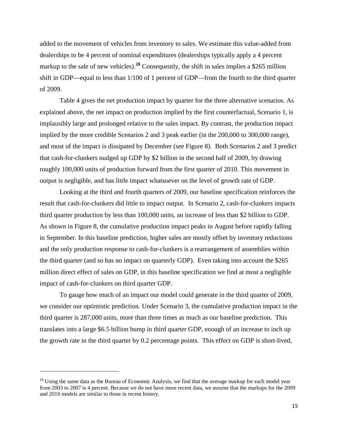added to the movement of vehicles from inventory to sales. We estimate this value-added from dealerships to be 4 percent of nominal expenditures (dealerships typically apply a 4 percent markup to the sale of new vehicles).**[28](#page-16-0)** Consequently, the shift in sales implies a \$265 million shift in GDP—equal to less than 1/100 of 1 percent of GDP—from the fourth to the third quarter of 2009.

Table 4 gives the net production impact by quarter for the three alternative scenarios. As explained above, the net impact on production implied by the first counterfactual, Scenario 1, is implausibly large and prolonged relative to the sales impact. By contrast, the production impact implied by the more credible Scenarios 2 and 3 peak earlier (in the 200,000 to 300,000 range), and most of the impact is dissipated by December (see Figure 8). Both Scenarios 2 and 3 predict that cash-for-clunkers nudged up GDP by \$2 billion in the second half of 2009, by drawing roughly 100,000 units of production forward from the first quarter of 2010. This movement in output is negligible, and has little impact whatsoever on the level of growth rate of GDP.

Looking at the third and fourth quarters of 2009, our baseline specification reinforces the result that cash-for-clunkers did little to impact output. In Scenario 2, cash-for-clunkers impacts third quarter production by less than 100,000 units, an increase of less than \$2 billion to GDP. As shown in Figure 8, the cumulative production impact peaks in August before rapidly falling in September. In this baseline prediction, higher sales are mostly offset by inventory reductions and the only production response to cash-for-clunkers is a rearrangement of assemblies within the third quarter (and so has no impact on quarterly GDP). Even taking into account the \$265 million direct effect of sales on GDP, in this baseline specification we find at most a negligible impact of cash-for-clunkers on third quarter GDP.

To gauge how much of an impact our model could generate in the third quarter of 2009, we consider our optimistic prediction. Under Scenario 3, the cumulative production impact in the third quarter is 287,000 units, more than three times as much as our baseline prediction. This translates into a large \$6.5 billion bump in third quarter GDP, enough of an increase to inch up the growth rate in the third quarter by 0.2 percentage points. This effect on GDP is short-lived,

 $\overline{\phantom{0}}$ 

<span id="page-16-0"></span><sup>&</sup>lt;sup>28</sup> Using the same data as the Bureau of Economic Analysis, we find that the average markup for each model year from 2003 to 2007 is 4 percent. Because we do not have more recent data, we assume that the markups for the 2009 and 2010 models are similar to those in recent history.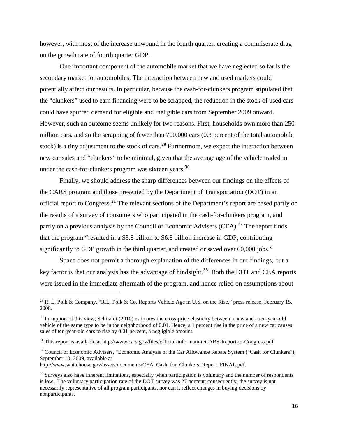however, with most of the increase unwound in the fourth quarter, creating a commiserate drag on the growth rate of fourth quarter GDP.

One important component of the automobile market that we have neglected so far is the secondary market for automobiles. The interaction between new and used markets could potentially affect our results. In particular, because the cash-for-clunkers program stipulated that the "clunkers" used to earn financing were to be scrapped, the reduction in the stock of used cars could have spurred demand for eligible and ineligible cars from September 2009 onward. However, such an outcome seems unlikely for two reasons. First, households own more than 250 million cars, and so the scrapping of fewer than 700,000 cars (0.3 percent of the total automobile stock) is a tiny adjustment to the stock of cars.**[29](#page-17-0)** Furthermore, we expect the interaction between new car sales and "clunkers" to be minimal, given that the average age of the vehicle traded in under the cash-for-clunkers program was sixteen years.**[30](#page-17-1)**

Finally, we should address the sharp differences between our findings on the effects of the CARS program and those presented by the Department of Transportation (DOT) in an official report to Congress.**[31](#page-17-2)** The relevant sections of the Department's report are based partly on the results of a survey of consumers who participated in the cash-for-clunkers program, and partly on a previous analysis by the Council of Economic Advisers (CEA).**[32](#page-17-3)** The report finds that the program "resulted in a \$3.8 billion to \$6.8 billion increase in GDP, contributing significantly to GDP growth in the third quarter, and created or saved over 60,000 jobs."

Space does not permit a thorough explanation of the differences in our findings, but a key factor is that our analysis has the advantage of hindsight. **[33](#page-17-4)** Both the DOT and CEA reports were issued in the immediate aftermath of the program, and hence relied on assumptions about

http://www.whitehouse.gov/assets/documents/CEA\_Cash\_for\_Clunkers\_Report\_FINAL.pdf.

l

<span id="page-17-0"></span><sup>&</sup>lt;sup>29</sup> R. L. Polk & Company, "R.L. Polk & Co. Reports Vehicle Age in U.S. on the Rise," press release, February 15, 2008.

<span id="page-17-1"></span> $30$  In support of this view, Schiraldi (2010) estimates the cross-price elasticity between a new and a ten-year-old vehicle of the same type to be in the neighborhood of 0.01. Hence, a 1 percent rise in the price of a new car causes sales of ten-year-old cars to rise by 0.01 percent, a negligible amount.

<span id="page-17-2"></span><sup>&</sup>lt;sup>31</sup> This report is available at http://www.cars.gov/files/official-information/CARS-Report-to-Congress.pdf.

<span id="page-17-3"></span><sup>&</sup>lt;sup>32</sup> Council of Economic Advisers, "Economic Analysis of the Car Allowance Rebate System ("Cash for Clunkers"), September 10, 2009, available at

<span id="page-17-4"></span><sup>&</sup>lt;sup>33</sup> Surveys also have inherent limitations, especially when participation is voluntary and the number of respondents is low. The voluntary participation rate of the DOT survey was 27 percent; consequently, the survey is not necessarily representative of all program participants, nor can it reflect changes in buying decisions by nonparticipants.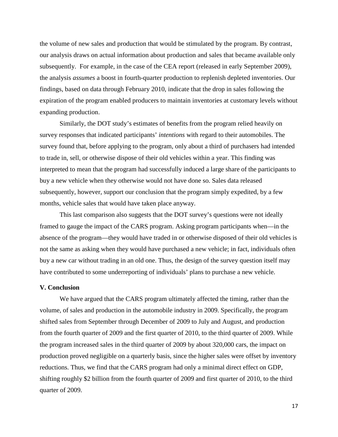the volume of new sales and production that would be stimulated by the program. By contrast, our analysis draws on actual information about production and sales that became available only subsequently. For example, in the case of the CEA report (released in early September 2009), the analysis *assumes* a boost in fourth-quarter production to replenish depleted inventories. Our findings, based on data through February 2010, indicate that the drop in sales following the expiration of the program enabled producers to maintain inventories at customary levels without expanding production.

Similarly, the DOT study's estimates of benefits from the program relied heavily on survey responses that indicated participants' *intentions* with regard to their automobiles. The survey found that, before applying to the program, only about a third of purchasers had intended to trade in, sell, or otherwise dispose of their old vehicles within a year. This finding was interpreted to mean that the program had successfully induced a large share of the participants to buy a new vehicle when they otherwise would not have done so. Sales data released subsequently, however, support our conclusion that the program simply expedited, by a few months, vehicle sales that would have taken place anyway.

This last comparison also suggests that the DOT survey's questions were not ideally framed to gauge the impact of the CARS program. Asking program participants when—in the absence of the program—they would have traded in or otherwise disposed of their old vehicles is not the same as asking when they would have purchased a new vehicle; in fact, individuals often buy a new car without trading in an old one. Thus, the design of the survey question itself may have contributed to some underreporting of individuals' plans to purchase a new vehicle.

### **V. Conclusion**

We have argued that the CARS program ultimately affected the timing, rather than the volume, of sales and production in the automobile industry in 2009. Specifically, the program shifted sales from September through December of 2009 to July and August, and production from the fourth quarter of 2009 and the first quarter of 2010, to the third quarter of 2009. While the program increased sales in the third quarter of 2009 by about 320,000 cars, the impact on production proved negligible on a quarterly basis, since the higher sales were offset by inventory reductions. Thus, we find that the CARS program had only a minimal direct effect on GDP, shifting roughly \$2 billion from the fourth quarter of 2009 and first quarter of 2010, to the third quarter of 2009.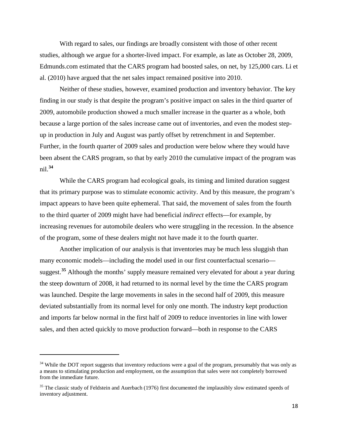With regard to sales, our findings are broadly consistent with those of other recent studies, although we argue for a shorter-lived impact. For example, as late as October 28, 2009, Edmunds.com estimated that the CARS program had boosted sales, on net, by 125,000 cars. Li et al. (2010) have argued that the net sales impact remained positive into 2010.

Neither of these studies, however, examined production and inventory behavior. The key finding in our study is that despite the program's positive impact on sales in the third quarter of 2009, automobile production showed a much smaller increase in the quarter as a whole, both because a large portion of the sales increase came out of inventories, and even the modest stepup in production in July and August was partly offset by retrenchment in and September. Further, in the fourth quarter of 2009 sales and production were below where they would have been absent the CARS program, so that by early 2010 the cumulative impact of the program was nil.**[34](#page-19-0)**

While the CARS program had ecological goals, its timing and limited duration suggest that its primary purpose was to stimulate economic activity. And by this measure, the program's impact appears to have been quite ephemeral. That said, the movement of sales from the fourth to the third quarter of 2009 might have had beneficial *indirect* effects—for example, by increasing revenues for automobile dealers who were struggling in the recession. In the absence of the program, some of these dealers might not have made it to the fourth quarter.

Another implication of our analysis is that inventories may be much less sluggish than many economic models—including the model used in our first counterfactual scenario suggest.**[35](#page-19-1)** Although the months' supply measure remained very elevated for about a year during the steep downturn of 2008, it had returned to its normal level by the time the CARS program was launched. Despite the large movements in sales in the second half of 2009, this measure deviated substantially from its normal level for only one month. The industry kept production and imports far below normal in the first half of 2009 to reduce inventories in line with lower sales, and then acted quickly to move production forward—both in response to the CARS

l

<span id="page-19-0"></span><sup>&</sup>lt;sup>34</sup> While the DOT report suggests that inventory reductions were a goal of the program, presumably that was only as a means to stimulating production and employment, on the assumption that sales were not completely borrowed from the immediate future.

<span id="page-19-1"></span> $35$  The classic study of Feldstein and Auerbach (1976) first documented the implausibly slow estimated speeds of inventory adjustment.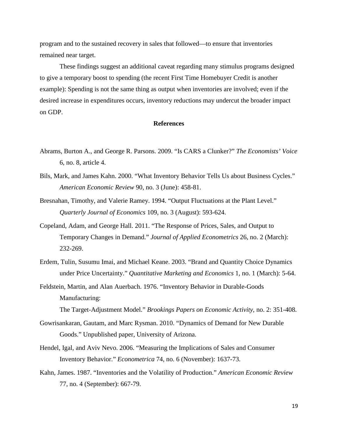program and to the sustained recovery in sales that followed—to ensure that inventories remained near target.

These findings suggest an additional caveat regarding many stimulus programs designed to give a temporary boost to spending (the recent First Time Homebuyer Credit is another example): Spending is not the same thing as output when inventories are involved; even if the desired increase in expenditures occurs, inventory reductions may undercut the broader impact on GDP.

### **References**

- Abrams, Burton A., and George R. Parsons. 2009. "Is CARS a Clunker?" *The Economists' Voice* 6, no. 8, article 4.
- Bils, Mark, and James Kahn. 2000. "What Inventory Behavior Tells Us about Business Cycles." *American Economic Review* 90, no. 3 (June): 458-81.
- Bresnahan, Timothy, and Valerie Ramey. 1994. "Output Fluctuations at the Plant Level." *Quarterly Journal of Economics* 109, no. 3 (August): 593-624.
- Copeland, Adam, and George Hall. 2011. "The Response of Prices, Sales, and Output to Temporary Changes in Demand." *Journal of Applied Econometrics* 26, no. 2 (March): 232-269.
- Erdem, Tulin, Susumu Imai, and Michael Keane. 2003. "Brand and Quantity Choice Dynamics under Price Uncertainty." *Quantitative Marketing and Economics* 1, no. 1 (March): 5-64.
- Feldstein, Martin, and Alan Auerbach. 1976. "Inventory Behavior in Durable-Goods Manufacturing:
	- The Target-Adjustment Model." *Brookings Papers on Economic Activity*, no. 2: 351-408.
- Gowrisankaran, Gautam, and Marc Rysman. 2010. "Dynamics of Demand for New Durable Goods." Unpublished paper, University of Arizona.
- Hendel, Igal, and Aviv Nevo. 2006. "Measuring the Implications of Sales and Consumer Inventory Behavior." *Econometrica* 74, no. 6 (November): 1637-73.
- Kahn, James. 1987. "Inventories and the Volatility of Production." *American Economic Review* 77, no. 4 (September): 667-79.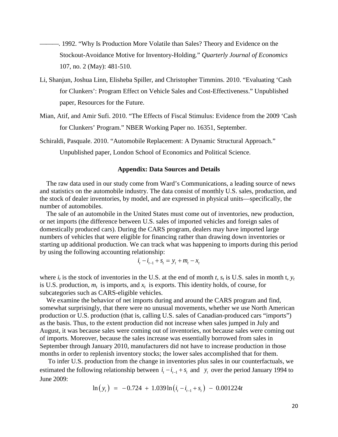- ———. 1992. "Why Is Production More Volatile than Sales? Theory and Evidence on the Stockout-Avoidance Motive for Inventory-Holding." *Quarterly Journal of Economics* 107, no. 2 (May): 481-510.
- Li, Shanjun, Joshua Linn, Elisheba Spiller, and Christopher Timmins. 2010. "Evaluating 'Cash for Clunkers': Program Effect on Vehicle Sales and Cost-Effectiveness." Unpublished paper, Resources for the Future.
- Mian, Atif, and Amir Sufi. 2010. "The Effects of Fiscal Stimulus: Evidence from the 2009 'Cash for Clunkers' Program." NBER Working Paper no. 16351, September.

Schiraldi, Pasquale. 2010. "Automobile Replacement: A Dynamic Structural Approach."

Unpublished paper, London School of Economics and Political Science.

# **Appendix: Data Sources and Details**

The raw data used in our study come from Ward's Communications, a leading source of news and statistics on the automobile industry. The data consist of monthly U.S. sales, production, and the stock of dealer inventories, by model, and are expressed in physical units—specifically, the number of automobiles.

The sale of an automobile in the United States must come out of inventories, new production, or net imports (the difference between U.S. sales of imported vehicles and foreign sales of domestically produced cars). During the CARS program, dealers may have imported large numbers of vehicles that were eligible for financing rather than drawing down inventories or starting up additional production. We can track what was happening to imports during this period by using the following accounting relationship:

$$
\dot{i}_t - \dot{i}_{t-1} + s_t = y_t + m_t - x_t
$$

where  $i_t$  is the stock of inventories in the U.S. at the end of month *t*,  $s_t$  is U.S. sales in month *t*,  $y_t$ is U.S. production,  $m_t$  is imports, and  $x_t$  is exports. This identity holds, of course, for subcategories such as CARS-eligible vehicles.

We examine the behavior of net imports during and around the CARS program and find, somewhat surprisingly, that there were no unusual movements, whether we use North American production or U.S. production (that is, calling U.S. sales of Canadian-produced cars "imports") as the basis. Thus, to the extent production did not increase when sales jumped in July and August, it was because sales were coming out of inventories, not because sales were coming out of imports. Moreover, because the sales increase was essentially borrowed from sales in September through January 2010, manufacturers did not have to increase production in those months in order to replenish inventory stocks; the lower sales accomplished that for them.

To infer U.S. production from the change in inventories plus sales in our counterfactuals, we estimated the following relationship between  $i_t - i_{t-1} + s_t$  and  $y_t$  over the period January 1994 to June 2009:

$$
\ln(y_t) = -0.724 + 1.039 \ln(i_t - i_{t-1} + s_t) - 0.001224t
$$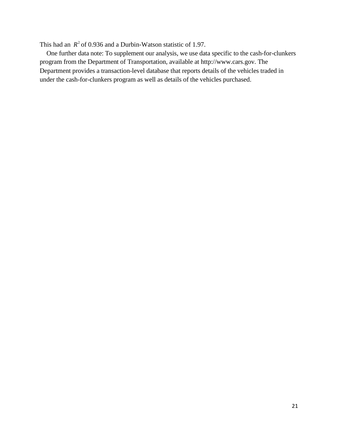This had an  $R^2$  of 0.936 and a Durbin-Watson statistic of 1.97.

One further data note: To supplement our analysis, we use data specific to the cash-for-clunkers program from the Department of Transportation, available at http://www.cars.gov. The Department provides a transaction-level database that reports details of the vehicles traded in under the cash-for-clunkers program as well as details of the vehicles purchased.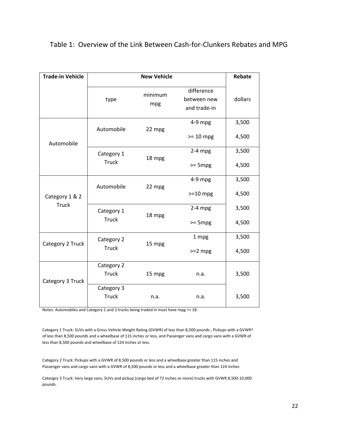| <b>Trade-in Vehicle</b>        | <b>New Vehicle</b>                   |                |                                           | Rebate  |
|--------------------------------|--------------------------------------|----------------|-------------------------------------------|---------|
|                                | type                                 | minimum<br>mpg | difference<br>between new<br>and trade-in | dollars |
| Automobile                     | Automobile                           | 22 mpg         | 4-9 mpg                                   | 3,500   |
|                                |                                      |                | $>= 10$ mpg                               | 4,500   |
|                                | Category 1<br><b>Truck</b>           | 18 mpg         | $2-4$ mpg                                 | 3,500   |
|                                |                                      |                | $>= 5mpg$                                 | 4,500   |
| Category 1 & 2<br><b>Truck</b> | Automobile                           | 22 mpg         | 4-9 mpg                                   | 3,500   |
|                                |                                      |                | $>= 10$ mpg                               | 4,500   |
|                                | Category 1<br>18 mpg<br><b>Truck</b> |                | $2-4$ mpg                                 | 3,500   |
|                                |                                      | $>= 5mpg$      | 4,500                                     |         |
| Category 2 Truck               | Category 2<br><b>Truck</b>           | 15 mpg         | 1 mpg                                     | 3,500   |
|                                |                                      |                | $>=2$ mpg                                 | 4,500   |
| Category 3 Truck               | Category 2<br><b>Truck</b>           | 15 mpg         | n.a.                                      | 3,500   |
|                                |                                      |                |                                           |         |
|                                | Category 3<br><b>Truck</b>           | n.a.           | n.a.                                      | 3,500   |
|                                |                                      |                |                                           |         |

Table 1: Overview of the Link Between Cash-for-Clunkers Rebates and MPG

Notes: Automobiles and Category 1 and 2 trucks being traded in must have mpg <= 18.

Category 1 Truck: SUVs with a Gross Vehicle Weight Rating (GVWR) of less than 8,500 pounds , Pickups with a GVWR† of less than 8,500 pounds and a wheelbase of 115 inches or less, and Passenger vans and cargo vans with a GVWR of less than 8,500 pounds and wheelbase of 124 inches or less.

Category 2 Truck: Pickups with a GVWR of 8,500 pounds or less and a wheelbase greater than 115 inches and Passenger vans and cargo vans with a GVWR of 8,500 pounds or less and a wheelbase greater than 124 inches

Cateogry 3 Truck: Very large vans, SUVs and pickup (cargo bed of 72 inches or more) trucks with GVWR 8,500-10,000 pounds.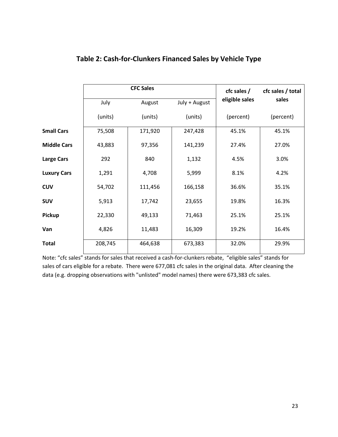|                    | <b>CFC Sales</b> |         |               | cfc sales /    | cfc sales / total |
|--------------------|------------------|---------|---------------|----------------|-------------------|
|                    | July             | August  | July + August | eligible sales | sales             |
|                    | (units)          | (units) | (units)       | (percent)      | (percent)         |
| <b>Small Cars</b>  | 75,508           | 171,920 | 247,428       | 45.1%          | 45.1%             |
| <b>Middle Cars</b> | 43,883           | 97,356  | 141,239       | 27.4%          | 27.0%             |
| <b>Large Cars</b>  | 292              | 840     | 1,132         | 4.5%           | 3.0%              |
| <b>Luxury Cars</b> | 1,291            | 4,708   | 5,999         | 8.1%           | 4.2%              |
| <b>CUV</b>         | 54,702           | 111,456 | 166,158       | 36.6%          | 35.1%             |
| <b>SUV</b>         | 5,913            | 17,742  | 23,655        | 19.8%          | 16.3%             |
| <b>Pickup</b>      | 22,330           | 49,133  | 71,463        | 25.1%          | 25.1%             |
| Van                | 4,826            | 11,483  | 16,309        | 19.2%          | 16.4%             |
| <b>Total</b>       | 208,745          | 464,638 | 673,383       | 32.0%          | 29.9%             |

# **Table 2: Cash-for-Clunkers Financed Sales by Vehicle Type**

Note: "cfc sales" stands for sales that received a cash-for-clunkers rebate, "eligible sales" stands for sales of cars eligible for a rebate. There were 677,081 cfc sales in the original data. After cleaning the data (e.g. dropping observations with "unlisted" model names) there were 673,383 cfc sales.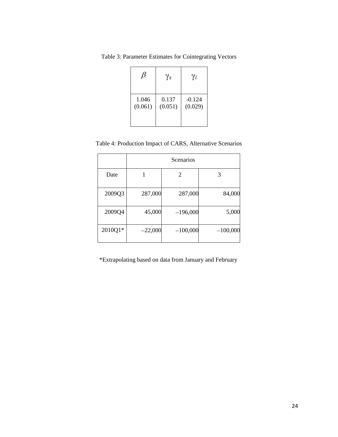Table 3: Parameter Estimates for Cointegrating Vectors

|         | $\gamma_{s}$ | $\gamma_i$ |
|---------|--------------|------------|
| 1.046   | 0.137        | $-0.124$   |
| (0.061) | (0.051)      | (0.029)    |

Table 4: Production Impact of CARS, Alternative Scenarios

|         | Scenarios |            |            |
|---------|-----------|------------|------------|
| Date    |           | 2          | 3          |
| 2009Q3  | 287,000   | 287,000    | 84,000     |
| 2009Q4  | 45,000    | $-196,000$ | 5,000      |
| 2010Q1* | $-22,000$ | $-100,000$ | $-100,000$ |

\*Extrapolating based on data from January and February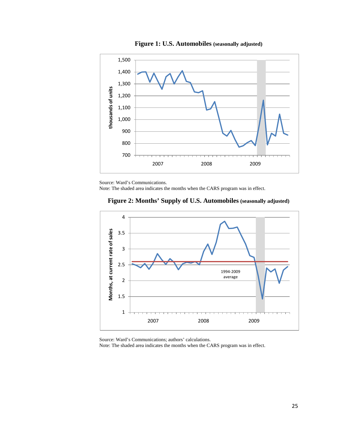

**Figure 1: U.S. Automobiles (seasonally adjusted)**

Source: Ward's Communications.

Note: The shaded area indicates the months when the CARS program was in effect.



**Figure 2: Months' Supply of U.S. Automobiles (seasonally adjusted)**

Source: Ward's Communications; authors' calculations.

Note: The shaded area indicates the months when the CARS program was in effect.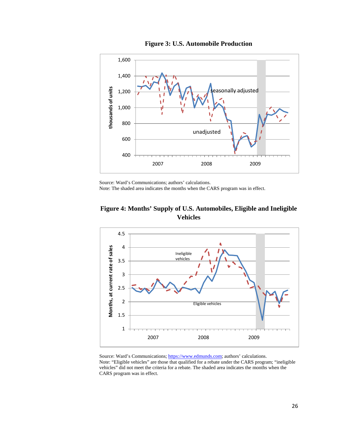**Figure 3: U.S. Automobile Production**



Source: Ward's Communications; authors' calculations.

Note: The shaded area indicates the months when the CARS program was in effect.





Source: Ward's Communications[; https://www.edmunds.com;](https://www.edmunds.com/) authors' calculations. Note: "Eligible vehicles" are those that qualified for a rebate under the CARS program; "ineligible vehicles" did not meet the criteria for a rebate. The shaded area indicates the months when the CARS program was in effect.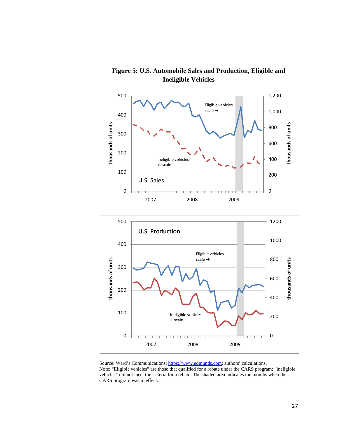

**Figure 5: U.S. Automobile Sales and Production, Eligible and Ineligible Vehicles**

Source: Ward's Communications[; https://www.edmunds.com;](https://www.edmunds.com/) authors' calculations. Note: "Eligible vehicles" are those that qualified for a rebate under the CARS program; "ineligible vehicles" did not meet the criteria for a rebate. The shaded area indicates the months when the CARS program was in effect.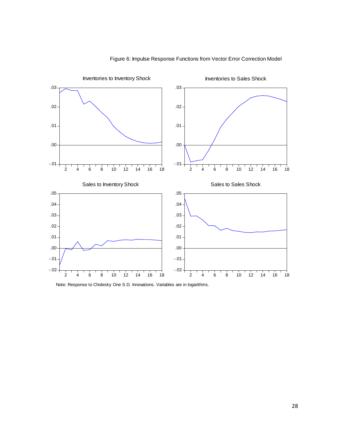

## Figure 6: Impulse Response Functions from Vector Error Correction Model

Note: Response to Cholesky One S.D. Innovations. Variables are in logarithms.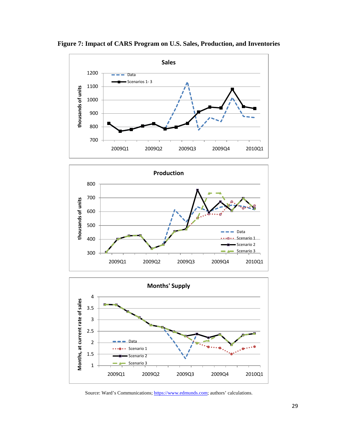

**Figure 7: Impact of CARS Program on U.S. Sales, Production, and Inventories**





Source: Ward's Communications; [https://www.edmunds.com;](https://www.edmunds.com/) authors' calculations.